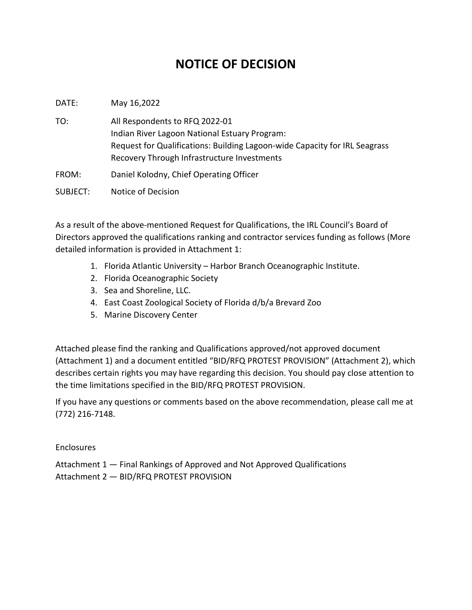## **NOTICE OF DECISION**

DATE: May 16,2022

TO: All Respondents to RFQ 2022-01 Indian River Lagoon National Estuary Program: Request for Qualifications: Building Lagoon-wide Capacity for IRL Seagrass Recovery Through Infrastructure Investments

FROM: Daniel Kolodny, Chief Operating Officer

SUBJECT: Notice of Decision

As a result of the above-mentioned Request for Qualifications, the IRL Council's Board of Directors approved the qualifications ranking and contractor services funding as follows (More detailed information is provided in Attachment 1:

- 1. Florida Atlantic University Harbor Branch Oceanographic Institute.
- 2. Florida Oceanographic Society
- 3. Sea and Shoreline, LLC.
- 4. East Coast Zoological Society of Florida d/b/a Brevard Zoo
- 5. Marine Discovery Center

Attached please find the ranking and Qualifications approved/not approved document (Attachment 1) and a document entitled "BID/RFQ PROTEST PROVISION" (Attachment 2), which describes certain rights you may have regarding this decision. You should pay close attention to the time limitations specified in the BID/RFQ PROTEST PROVISION.

If you have any questions or comments based on the above recommendation, please call me at (772) 216-7148.

Enclosures

Attachment 1 — Final Rankings of Approved and Not Approved Qualifications Attachment 2 — BID/RFQ PROTEST PROVISION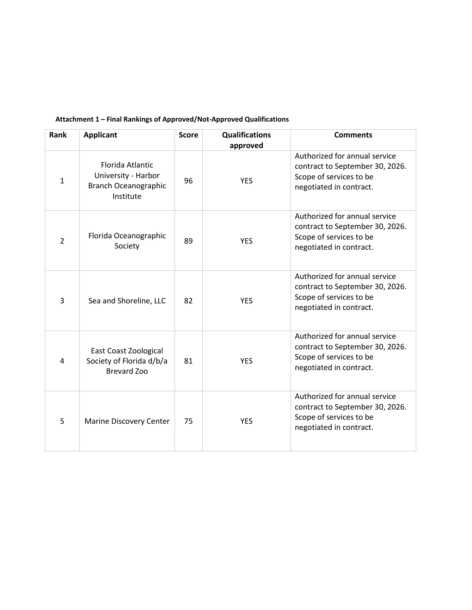| Rank           | <b>Applicant</b>                                                                    | <b>Score</b> | <b>Qualifications</b><br>approved | <b>Comments</b>                                                                                                        |
|----------------|-------------------------------------------------------------------------------------|--------------|-----------------------------------|------------------------------------------------------------------------------------------------------------------------|
| $\mathbf{1}$   | Florida Atlantic<br>University - Harbor<br><b>Branch Oceanographic</b><br>Institute | 96           | <b>YES</b>                        | Authorized for annual service<br>contract to September 30, 2026.<br>Scope of services to be<br>negotiated in contract. |
| $\overline{2}$ | Florida Oceanographic<br>Society                                                    | 89           | <b>YES</b>                        | Authorized for annual service<br>contract to September 30, 2026.<br>Scope of services to be<br>negotiated in contract. |
| 3              | Sea and Shoreline, LLC                                                              | 82           | <b>YES</b>                        | Authorized for annual service<br>contract to September 30, 2026.<br>Scope of services to be<br>negotiated in contract. |
| 4              | East Coast Zoological<br>Society of Florida d/b/a<br><b>Brevard Zoo</b>             | 81           | <b>YES</b>                        | Authorized for annual service<br>contract to September 30, 2026.<br>Scope of services to be<br>negotiated in contract. |
| 5              | <b>Marine Discovery Center</b>                                                      | 75           | <b>YES</b>                        | Authorized for annual service<br>contract to September 30, 2026.<br>Scope of services to be<br>negotiated in contract. |

## **Attachment 1 – Final Rankings of Approved/Not-Approved Qualifications**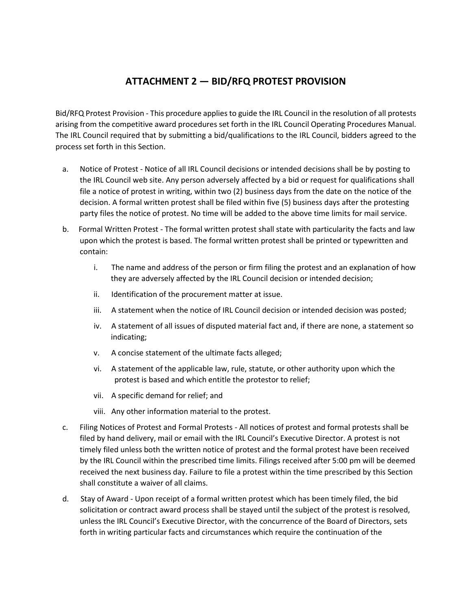## **ATTACHMENT 2 — BID/RFQ PROTEST PROVISION**

Bid/RFQ Protest Provision - This procedure applies to guide the IRL Council in the resolution of all protests arising from the competitive award procedures set forth in the IRL Council Operating Procedures Manual. The IRL Council required that by submitting a bid/qualifications to the IRL Council, bidders agreed to the process set forth in this Section.

- a. Notice of Protest Notice of all IRL Council decisions or intended decisions shall be by posting to the IRL Council web site. Any person adversely affected by a bid or request for qualifications shall file a notice of protest in writing, within two (2) business days from the date on the notice of the decision. A formal written protest shall be filed within five (5) business days after the protesting party files the notice of protest. No time will be added to the above time limits for mail service.
- b. Formal Written Protest The formal written protest shall state with particularity the facts and law upon which the protest is based. The formal written protest shall be printed or typewritten and contain:
	- i. The name and address of the person or firm filing the protest and an explanation of how they are adversely affected by the IRL Council decision or intended decision;
	- ii. Identification of the procurement matter at issue.
	- iii. A statement when the notice of IRL Council decision or intended decision was posted;
	- iv. A statement of all issues of disputed material fact and, if there are none, a statement so indicating;
	- v. A concise statement of the ultimate facts alleged;
	- vi. A statement of the applicable law, rule, statute, or other authority upon which the protest is based and which entitle the protestor to relief;
	- vii. A specific demand for relief; and
	- viii. Any other information material to the protest.
- c. Filing Notices of Protest and Formal Protests All notices of protest and formal protests shall be filed by hand delivery, mail or email with the IRL Council's Executive Director. A protest is not timely filed unless both the written notice of protest and the formal protest have been received by the IRL Council within the prescribed time limits. Filings received after 5:00 pm will be deemed received the next business day. Failure to file a protest within the time prescribed by this Section shall constitute a waiver of all claims.
- d. Stay of Award Upon receipt of a formal written protest which has been timely filed, the bid solicitation or contract award process shall be stayed until the subject of the protest is resolved, unless the IRL Council's Executive Director, with the concurrence of the Board of Directors, sets forth in writing particular facts and circumstances which require the continuation of the